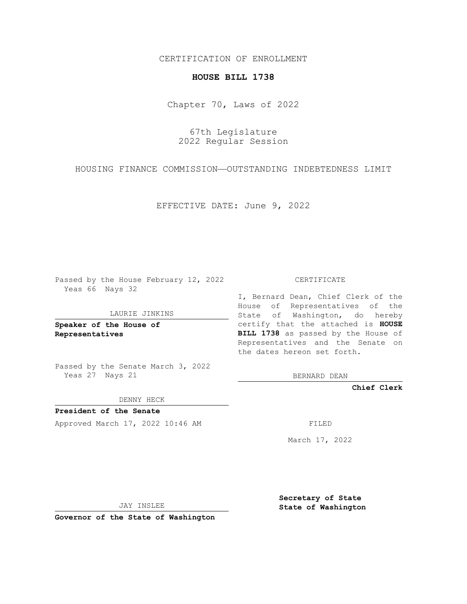CERTIFICATION OF ENROLLMENT

## **HOUSE BILL 1738**

Chapter 70, Laws of 2022

67th Legislature 2022 Regular Session

HOUSING FINANCE COMMISSION—OUTSTANDING INDEBTEDNESS LIMIT

EFFECTIVE DATE: June 9, 2022

Passed by the House February 12, 2022 Yeas 66 Nays 32

LAURIE JINKINS

**Speaker of the House of Representatives**

Passed by the Senate March 3, 2022 Yeas 27 Nays 21

DENNY HECK

**President of the Senate** Approved March 17, 2022 10:46 AM FILED

CERTIFICATE

I, Bernard Dean, Chief Clerk of the House of Representatives of the State of Washington, do hereby certify that the attached is **HOUSE BILL 1738** as passed by the House of Representatives and the Senate on the dates hereon set forth.

BERNARD DEAN

**Chief Clerk**

March 17, 2022

JAY INSLEE

**Governor of the State of Washington**

**Secretary of State State of Washington**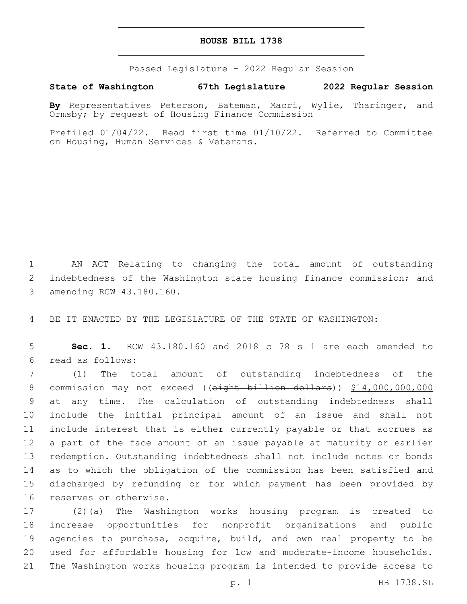## **HOUSE BILL 1738**

Passed Legislature - 2022 Regular Session

**State of Washington 67th Legislature 2022 Regular Session**

**By** Representatives Peterson, Bateman, Macri, Wylie, Tharinger, and Ormsby; by request of Housing Finance Commission

Prefiled 01/04/22. Read first time 01/10/22. Referred to Committee on Housing, Human Services & Veterans.

1 AN ACT Relating to changing the total amount of outstanding 2 indebtedness of the Washington state housing finance commission; and 3 amending RCW 43.180.160.

4 BE IT ENACTED BY THE LEGISLATURE OF THE STATE OF WASHINGTON:

5 **Sec. 1.** RCW 43.180.160 and 2018 c 78 s 1 are each amended to read as follows:6

 (1) The total amount of outstanding indebtedness of the 8 commission may not exceed ((eight billion dollars)) \$14,000,000,000 at any time. The calculation of outstanding indebtedness shall include the initial principal amount of an issue and shall not include interest that is either currently payable or that accrues as a part of the face amount of an issue payable at maturity or earlier redemption. Outstanding indebtedness shall not include notes or bonds as to which the obligation of the commission has been satisfied and discharged by refunding or for which payment has been provided by 16 reserves or otherwise.

 (2)(a) The Washington works housing program is created to increase opportunities for nonprofit organizations and public agencies to purchase, acquire, build, and own real property to be used for affordable housing for low and moderate-income households. The Washington works housing program is intended to provide access to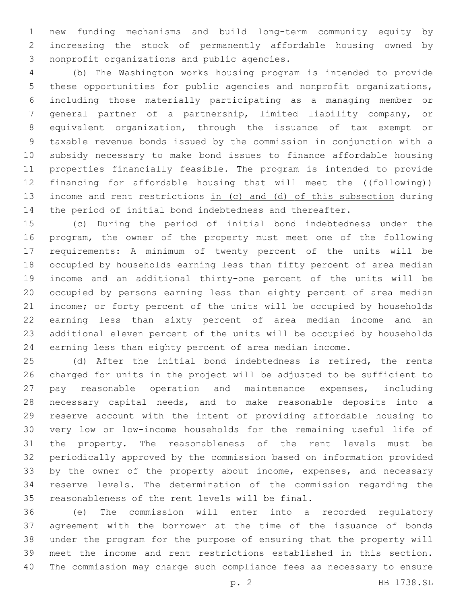new funding mechanisms and build long-term community equity by increasing the stock of permanently affordable housing owned by 3 nonprofit organizations and public agencies.

 (b) The Washington works housing program is intended to provide these opportunities for public agencies and nonprofit organizations, including those materially participating as a managing member or general partner of a partnership, limited liability company, or equivalent organization, through the issuance of tax exempt or taxable revenue bonds issued by the commission in conjunction with a subsidy necessary to make bond issues to finance affordable housing properties financially feasible. The program is intended to provide 12 financing for affordable housing that will meet the ((following)) income and rent restrictions in (c) and (d) of this subsection during the period of initial bond indebtedness and thereafter.

 (c) During the period of initial bond indebtedness under the program, the owner of the property must meet one of the following requirements: A minimum of twenty percent of the units will be occupied by households earning less than fifty percent of area median income and an additional thirty-one percent of the units will be occupied by persons earning less than eighty percent of area median income; or forty percent of the units will be occupied by households earning less than sixty percent of area median income and an additional eleven percent of the units will be occupied by households earning less than eighty percent of area median income.

 (d) After the initial bond indebtedness is retired, the rents charged for units in the project will be adjusted to be sufficient to pay reasonable operation and maintenance expenses, including necessary capital needs, and to make reasonable deposits into a reserve account with the intent of providing affordable housing to very low or low-income households for the remaining useful life of the property. The reasonableness of the rent levels must be periodically approved by the commission based on information provided 33 by the owner of the property about income, expenses, and necessary reserve levels. The determination of the commission regarding the 35 reasonableness of the rent levels will be final.

 (e) The commission will enter into a recorded regulatory agreement with the borrower at the time of the issuance of bonds under the program for the purpose of ensuring that the property will meet the income and rent restrictions established in this section. The commission may charge such compliance fees as necessary to ensure